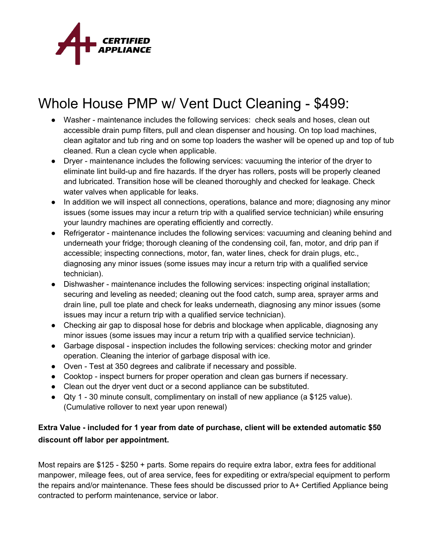

## Whole House PMP w/ Vent Duct Cleaning - \$499:

- Washer maintenance includes the following services: check seals and hoses, clean out accessible drain pump filters, pull and clean dispenser and housing. On top load machines, clean agitator and tub ring and on some top loaders the washer will be opened up and top of tub cleaned. Run a clean cycle when applicable.
- Dryer maintenance includes the following services: vacuuming the interior of the dryer to eliminate lint build-up and fire hazards. If the dryer has rollers, posts will be properly cleaned and lubricated. Transition hose will be cleaned thoroughly and checked for leakage. Check water valves when applicable for leaks.
- In addition we will inspect all connections, operations, balance and more; diagnosing any minor issues (some issues may incur a return trip with a qualified service technician) while ensuring your laundry machines are operating efficiently and correctly.
- Refrigerator maintenance includes the following services: vacuuming and cleaning behind and underneath your fridge; thorough cleaning of the condensing coil, fan, motor, and drip pan if accessible; inspecting connections, motor, fan, water lines, check for drain plugs, etc., diagnosing any minor issues (some issues may incur a return trip with a qualified service technician).
- Dishwasher maintenance includes the following services: inspecting original installation; securing and leveling as needed; cleaning out the food catch, sump area, sprayer arms and drain line, pull toe plate and check for leaks underneath, diagnosing any minor issues (some issues may incur a return trip with a qualified service technician).
- Checking air gap to disposal hose for debris and blockage when applicable, diagnosing any minor issues (some issues may incur a return trip with a qualified service technician).
- Garbage disposal inspection includes the following services: checking motor and grinder operation. Cleaning the interior of garbage disposal with ice.
- Oven Test at 350 degrees and calibrate if necessary and possible.
- Cooktop inspect burners for proper operation and clean gas burners if necessary.
- Clean out the dryer vent duct or a second appliance can be substituted.
- Qty 1 30 minute consult, complimentary on install of new appliance (a \$125 value). (Cumulative rollover to next year upon renewal)

## **Extra Value - included for 1 year from date of purchase, client will be extended automatic \$50 discount off labor per appointment.**

Most repairs are \$125 - \$250 + parts. Some repairs do require extra labor, extra fees for additional manpower, mileage fees, out of area service, fees for expediting or extra/special equipment to perform the repairs and/or maintenance. These fees should be discussed prior to A+ Certified Appliance being contracted to perform maintenance, service or labor.